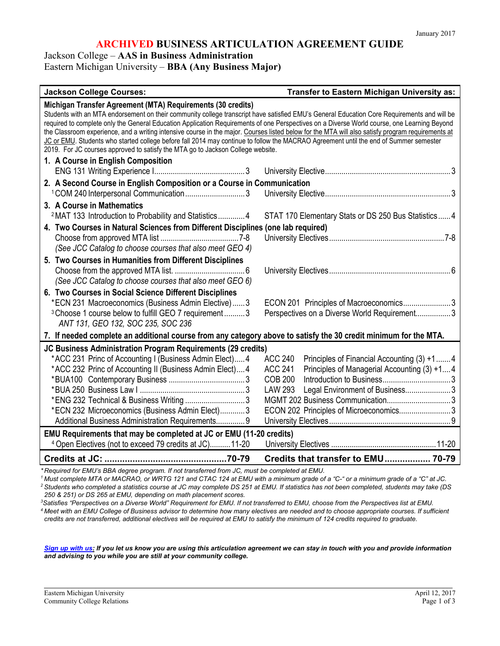# **ARCHIVED BUSINESS ARTICULATION AGREEMENT GUIDE**

Jackson College – **AAS in Business Administration**

Eastern Michigan University – **BBA (Any Business Major)**

| <b>Jackson College Courses:</b>                                                                                                                                                                                                                                                                                                                                                                                                                                                                                                                                                                                                                                                                                                            | Transfer to Eastern Michigan University as:                                                                                                                                                                                                   |  |  |  |
|--------------------------------------------------------------------------------------------------------------------------------------------------------------------------------------------------------------------------------------------------------------------------------------------------------------------------------------------------------------------------------------------------------------------------------------------------------------------------------------------------------------------------------------------------------------------------------------------------------------------------------------------------------------------------------------------------------------------------------------------|-----------------------------------------------------------------------------------------------------------------------------------------------------------------------------------------------------------------------------------------------|--|--|--|
| Michigan Transfer Agreement (MTA) Requirements (30 credits)<br>Students with an MTA endorsement on their community college transcript have satisfied EMU's General Education Core Requirements and will be<br>required to complete only the General Education Application Requirements of one Perspectives on a Diverse World course, one Learning Beyond<br>the Classroom experience, and a writing intensive course in the major. Courses listed below for the MTA will also satisfy program requirements at<br>JC or EMU. Students who started college before fall 2014 may continue to follow the MACRAO Agreement until the end of Summer semester<br>2019. For JC courses approved to satisfy the MTA go to Jackson College website. |                                                                                                                                                                                                                                               |  |  |  |
| 1. A Course in English Composition                                                                                                                                                                                                                                                                                                                                                                                                                                                                                                                                                                                                                                                                                                         |                                                                                                                                                                                                                                               |  |  |  |
|                                                                                                                                                                                                                                                                                                                                                                                                                                                                                                                                                                                                                                                                                                                                            |                                                                                                                                                                                                                                               |  |  |  |
| 2. A Second Course in English Composition or a Course in Communication                                                                                                                                                                                                                                                                                                                                                                                                                                                                                                                                                                                                                                                                     |                                                                                                                                                                                                                                               |  |  |  |
| <sup>1</sup> COM 240 Interpersonal Communication3<br>3. A Course in Mathematics                                                                                                                                                                                                                                                                                                                                                                                                                                                                                                                                                                                                                                                            |                                                                                                                                                                                                                                               |  |  |  |
| <sup>2</sup> MAT 133 Introduction to Probability and Statistics4                                                                                                                                                                                                                                                                                                                                                                                                                                                                                                                                                                                                                                                                           | STAT 170 Elementary Stats or DS 250 Bus Statistics 4                                                                                                                                                                                          |  |  |  |
| 4. Two Courses in Natural Sciences from Different Disciplines (one lab required)                                                                                                                                                                                                                                                                                                                                                                                                                                                                                                                                                                                                                                                           |                                                                                                                                                                                                                                               |  |  |  |
| (See JCC Catalog to choose courses that also meet GEO 4)                                                                                                                                                                                                                                                                                                                                                                                                                                                                                                                                                                                                                                                                                   |                                                                                                                                                                                                                                               |  |  |  |
| 5. Two Courses in Humanities from Different Disciplines<br>(See JCC Catalog to choose courses that also meet GEO 6)                                                                                                                                                                                                                                                                                                                                                                                                                                                                                                                                                                                                                        |                                                                                                                                                                                                                                               |  |  |  |
| 6. Two Courses in Social Science Different Disciplines<br>*ECN 231 Macroeconomics (Business Admin Elective) 3<br><sup>3</sup> Choose 1 course below to fulfill GEO 7 requirement  3<br>ANT 131, GEO 132, SOC 235, SOC 236                                                                                                                                                                                                                                                                                                                                                                                                                                                                                                                  | ECON 201 Principles of Macroeconomics3<br>Perspectives on a Diverse World Requirement 3                                                                                                                                                       |  |  |  |
| 7. If needed complete an additional course from any category above to satisfy the 30 credit minimum for the MTA.                                                                                                                                                                                                                                                                                                                                                                                                                                                                                                                                                                                                                           |                                                                                                                                                                                                                                               |  |  |  |
| JC Business Administration Program Requirements (29 credits)<br>*ACC 231 Princ of Accounting I (Business Admin Elect) 4<br>*ACC 232 Princ of Accounting II (Business Admin Elect)4<br>*ENG 232 Technical & Business Writing 3<br>*ECN 232 Microeconomics (Business Admin Elect)3<br>Additional Business Administration Requirements 9<br>EMU Requirements that may be completed at JC or EMU (11-20 credits)<br><sup>4</sup> Open Electives (not to exceed 79 credits at JC)11-20                                                                                                                                                                                                                                                          | <b>ACC 240</b><br>Principles of Financial Accounting (3) +14<br><b>ACC 241</b><br>Principles of Managerial Accounting (3) +14<br><b>COB 200</b><br><b>LAW 293</b><br>Legal Environment of Business3<br>ECON 202 Principles of Microeconomics3 |  |  |  |
|                                                                                                                                                                                                                                                                                                                                                                                                                                                                                                                                                                                                                                                                                                                                            | Credits that transfer to EMU 70-79                                                                                                                                                                                                            |  |  |  |

*\* Required for EMU's BBA degree program. If not transferred from JC, must be completed at EMU.*

1 Must complete MTA or MACRAO, or WRTG 121 and CTAC 124 at EMU with a minimum grade of a "C-" or a minimum grade of a "C" at JC.<br><sup>2</sup> Students who completed a statistics course at JC may complete DS 251 at EMU. If statistic *250 & 251) or DS 265 at EMU, depending on math placement scores.*

*3 Satisfies "Perspectives on a Diverse World" Requirement for EMU. If not transferred to EMU, choose from the Perspectives list at EMU. <sup>4</sup> Meet with an EMU College of Business advisor to determine how many electives are needed and to choose appropriate courses. If sufficient credits are not transferred, additional electives will be required at EMU to satisfy the minimum of 124 credits required to graduate.*

*[Sign up with us:](https://www.emich.edu/ccr/articulation-agreements/signup.php) If you let us know you are using this articulation agreement we can stay in touch with you and provide information and advising to you while you are still at your community college.*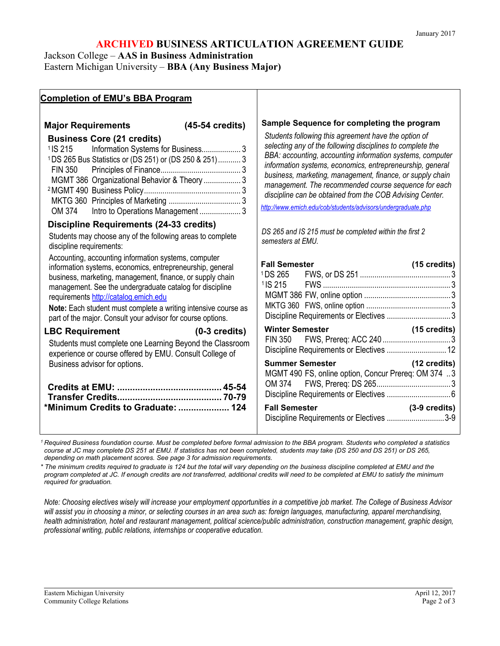# **ARCHIVED BUSINESS ARTICULATION AGREEMENT GUIDE**

Jackson College – **AAS in Business Administration**

Eastern Michigan University – **BBA (Any Business Major)**

# **Completion of EMU's BBA Program**

# **Major Requirements (45-54 credits)**

# **Business Core (21 credits)**

| <sup>1</sup> IS 215 Information Systems for Business 3            |  |
|-------------------------------------------------------------------|--|
| <sup>1</sup> DS 265 Bus Statistics or (DS 251) or (DS 250 & 251)3 |  |
|                                                                   |  |
| MGMT 386 Organizational Behavior & Theory  3                      |  |
|                                                                   |  |
|                                                                   |  |
| OM 374 Intro to Operations Management 3                           |  |

# **Discipline Requirements (24-33 credits)**

Students may choose any of the following areas to complete discipline requirements:

Accounting, accounting information systems, computer information systems, economics, entrepreneurship, general business, marketing, management, finance, or supply chain management. See the undergraduate catalog for discipline requirement[s http://catalog.emich.edu](http://catalog.emich.edu/)

**Note:** Each student must complete a writing intensive course as part of the major. Consult your advisor for course options.

#### **LBC Requirement (0-3 credits)**

Students must complete one Learning Beyond the Classroom experience or course offered by EMU. Consult College of Business advisor for options.

| *Minimum Credits to Graduate:  124 |  |
|------------------------------------|--|

### **Sample Sequence for completing the program**

*Students following this agreement have the option of selecting any of the following disciplines to complete the BBA: accounting, accounting information systems, computer information systems, economics, entrepreneurship, general business, marketing, management, finance, or supply chain management. The recommended course sequence for each discipline can be obtained from the COB Advising Center.*

*<http://www.emich.edu/cob/students/advisors/undergraduate.php>*

*DS 265 and IS 215 must be completed within the first 2 semesters at EMU.*

| <b>Fall Semester</b>                                                          | (15 credits)<br>3       |
|-------------------------------------------------------------------------------|-------------------------|
| <b>Winter Semester</b><br>Discipline Requirements or Electives  12            | (15 credits)            |
| <b>Summer Semester</b><br>MGMT 490 FS, online option, Concur Prereq: OM 374 3 | $(12 \text{ credits})$  |
| <b>Fall Semester</b><br>Discipline Requirements or Electives 3-9              | $(3-9 \text{ credits})$ |

*<sup>1</sup> Required Business foundation course. Must be completed before formal admission to the BBA program. Students who completed a statistics course at JC may complete DS 251 at EMU. If statistics has not been completed, students may take (DS 250 and DS 251) or DS 265, depending on math placement scores. See page 3 for admission requirements.*

*\* The minimum credits required to graduate is 124 but the total will vary depending on the business discipline completed at EMU and the program completed at JC. If enough credits are not transferred, additional credits will need to be completed at EMU to satisfy the minimum required for graduation.* 

*Note: Choosing electives wisely will increase your employment opportunities in a competitive job market. The College of Business Advisor will assist you in choosing a minor, or selecting courses in an area such as: foreign languages, manufacturing, apparel merchandising, health administration, hotel and restaurant management, political science/public administration, construction management, graphic design, professional writing, public relations, internships or cooperative education.*